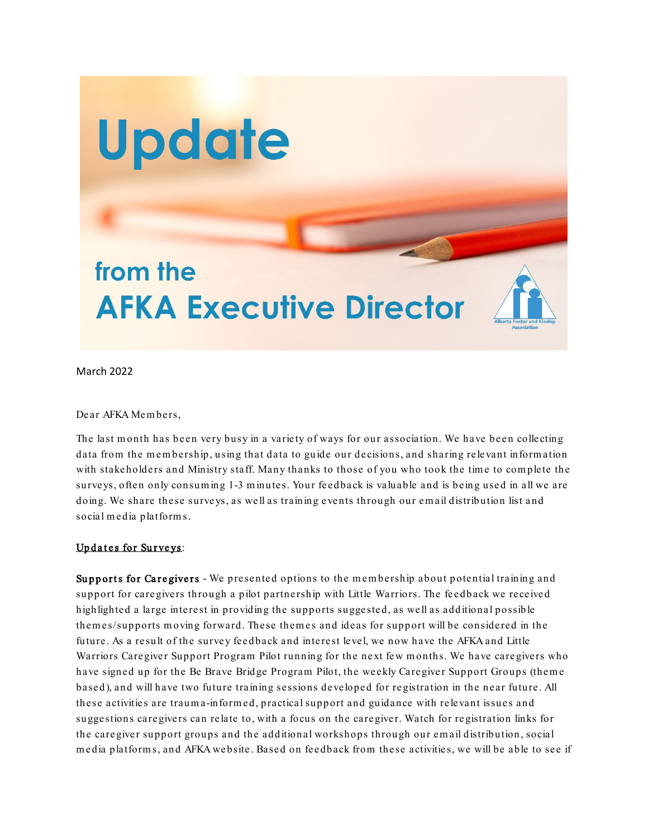

March 2022

Dear AFKA Mem bers,

The last month has been very busy in a variety of ways for our association. We have been collecting data from the membership, using that data to guide our decisions, and sharing relevant information with stakeholders and Ministry staff. Many thanks to those of you who took the time to complete the surveys, often only consum ing 1-3 m inutes. Your feedback is valuable and is being used in all we are doing. We share these surveys, as well as training events through our em ail distribution list and social m edia platform s.

## Updates for Surveys:

Supports for Caregivers - We presented options to the membership about potential training and support for caregivers through a pilot partnership with Little Warriors. The feedback we received highlighted a large interest in providing the supports suggested, as well as additional possible them es/supports m oving forward. These them es and ideas for support will be considered in the future. As a result of the survey feedback and interest level, we now have the AFKA and Little Warriors Caregiver Support Program Pilot running for the next few months. We have caregivers who have signed up for the Be Brave Bridge Program Pilot, the weekly Caregiver Support Groups (theme based), and will have two future training sessions developed for registration in the near future. All these activities are traum a-inform ed, practical supp ort and guidance with relevant issues and suggestions caregivers can relate to, with a focus on the caregiver. Watch for registration links for the caregiver support groups and the additional workshops through our email distribution, social m edia platform s, and AFKA website. Based on feedback from these activities, we will be able to see if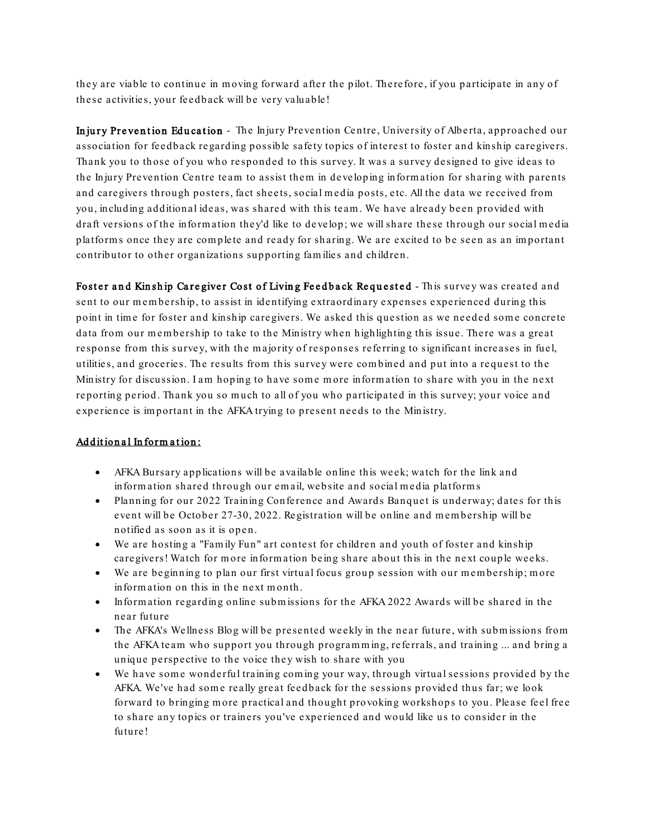they are viable to continue in moving forward after the pilot. Therefore, if you participate in any of these activities, your feedback will be very valuable!

Injury Prevention Education - The Injury Prevention Centre, University of Alberta, approached our association for feedback regarding possible safety topics of interest to foster and kinship caregivers. Thank you to those of you who responded to this survey. It was a survey designed to give ideas to the Injury Prevention Centre team to assist them in developing inform ation for sharing with parents and caregivers through posters, fact sheets, social m edia posts, etc. All the data we received from you, including additional ideas, was shared with this team . We have already been provided with draft versions of the information they'd like to develop; we will share these through our social media platforms once they are complete and ready for sharing. We are excited to be seen as an important contributor to other organizations supporting fam ilies and children.

Foster and Kinship Caregiver Cost of Living Feedback Requested - This survey was created and sent to our membership, to assist in identifying extraordinary expenses experienced during this point in time for foster and kinship caregivers. We asked this question as we needed some concrete data from our membership to take to the Ministry when highlighting this issue. There was a great response from this survey, with the m ajority of responses referring to significant increases in fuel, utilities, and groceries. The results from this survey were com bined and put into a request to the Ministry for discussion. I am hoping to have some more information to share with you in the next reporting period. Thank you so much to all of you who participated in this survey; your voice and experience is im portant in the AFKA trying to present needs to the Ministry.

## Additional Information:

- AFKA Bursary applications will be available online this week; watch for the link and information shared through our email, website and social media platforms
- Planning for our 2022 Training Conference and Awards Banquet is underway; dates for this event will be October 27-30, 2022. Registration will be online and membership will be notified as soon as it is open.
- We are hosting a "Fam ily Fun" art contest for children and youth of foster and kinship caregivers! Watch for m ore inform ation being share about this in the next couple weeks.
- We are beginning to plan our first virtual focus group session with our membership; more inform ation on this in the next m onth.
- Inform ation regarding online subm issions for the AFKA 2022 Awards will be shared in the near future
- The AFKA's Wellness Blog will be presented weekly in the near future, with submissions from the AFKA team who support you through programming, referrals, and training ... and bring a unique perspective to the voice they wish to share with you
- We have some wonderful training coming your way, through virtual sessions provided by the AFKA. We've had some really great feedback for the sessions provided thus far; we look forward to bringing m ore practical and thought provoking workshops to you. Please feel free to share any topics or trainers you've experienced and would like us to consider in the future!